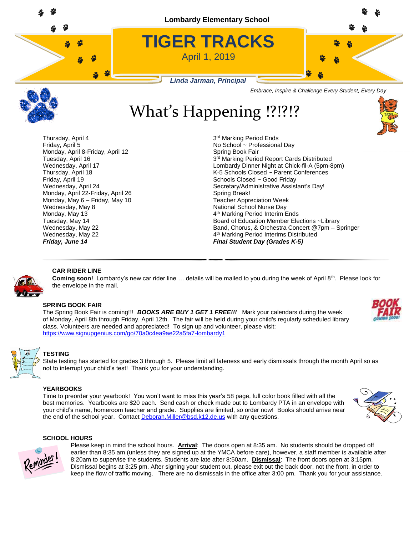



# What's Happening !?!?!?



3rd Marking Period Ends No School ~ Professional Day 3rd Marking Period Report Cards Distributed Wednesday, April 17 Lombardy Dinner Night at Chick-fil-A (5pm-8pm) Thursday, April 18 K-5 Schools Closed ~ Parent Conferences Wednesday, April 24 Secretary/Administrative Assistant's Day! 4<sup>th</sup> Marking Period Interim Ends Tuesday, May 14 Board of Education Member Elections ~Library Wednesday, May 22 **Band, Chorus, & Orchestra Concert @7pm** – Springer 4<sup>th</sup> Marking Period Interims Distributed



### **CAR RIDER LINE**

Coming soon! Lombardy's new car rider line ... details will be mailed to you during the week of April 8<sup>th</sup>. Please look for the envelope in the mail.

#### **SPRING BOOK FAIR**

The Spring Book Fair is coming!!! *BOOKS ARE BUY 1 GET 1 FREE!!!*Mark your calendars during the week of Monday, April 8th through Friday, April 12th. The fair will be held during your child's regularly scheduled library class. Volunteers are needed and appreciated! To sign up and volunteer, please visit: <https://www.signupgenius.com/go/70a0c4ea9ae22a5fa7-lombardy1>





#### **TESTING**

State testing has started for grades 3 through 5. Please limit all lateness and early dismissals through the month April so as not to interrupt your child's test! Thank you for your understanding.

#### **YEARBOOKS**

Time to preorder your yearbook! You won't want to miss this year's 58 page, full color book filled with all the best memories. Yearbooks are \$20 each. Send cash or check made out to Lombardy PTA in an envelope with your child's name, homeroom teacher and grade. Supplies are limited, so order now! Books should arrive near the end of the school year. Contact [Deborah.Miller@bsd.k12.de.us](mailto:Deborah.Miller@bsd.k12.de.us) with any questions.





Please keep in mind the school hours. **Arrival**: The doors open at 8:35 am. No students should be dropped off earlier than 8:35 am (unless they are signed up at the YMCA before care), however, a staff member is available after 8:20am to supervise the students. Students are late after 8:50am. **Dismissal**: The front doors open at 3:15pm. Dismissal begins at 3:25 pm. After signing your student out, please exit out the back door, not the front, in order to keep the flow of traffic moving. There are no dismissals in the office after 3:00 pm. Thank you for your assistance.